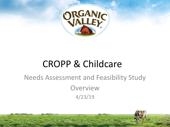

# CROPP & Childcare

## Needs Assessment and Feasibility Study **Overview** 4/23/19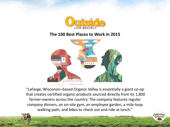

#### **The 100 Best Places to Work in 2015**



"LaFarge, Wisconsin–based Organic Valley is essentially a giant co-op that creates certified organic products sourced directly from its 1,800 farmer-owners across the country. The company features regular company dinners, an on-site gym, an employee garden, a mile-loop walking path, and bikes to check out and ride at lunch."

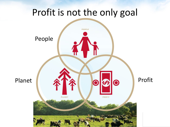# Profit is not the only goal

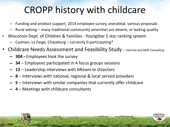# CROPP history with childcare

- Funding and product support, 2014 employee survey, anecdotal, various proposals
- Rural setting many traditional community amenities are absent, or lacking quality
- Wisconsin Dept. of Children & Families YoungStar 5 star ranking system
	- Cashton, La Farge, Chaseburg  $-$  currently 0 participating\*
- Childcare Needs Assessment and Feasibility Study *Internal and Mills Consulting*
	- **– 304** Employees took the survey
	- **– 34**  Employees participated in 4 focus groups sessions
	- **– 12** Leadership interviews with Mteam or Directors
	- **– 8** Interviews with national, regional & local service providers
	- **– 5** Interviews with similar companies that currently offer childcare
	- **– 4** Meetings with childcare consultants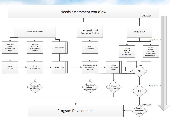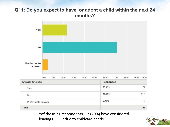### **Q11: Do you expect to have, or adopt a child within the next 24 months?**



\*of these 71 respondents, 12 (20%) have considered leaving CROPP due to childcare needs

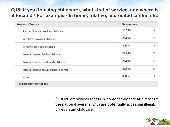### **Q15: If yes (to using childcare), what kind of service, and where is it located? For example - In home, relative, accredited center, etc.**

| <b>Answer Choices</b>                   | <b>Responses</b> |    |
|-----------------------------------------|------------------|----|
| Partner/Spouse provides childcare       | 13.33%           | 14 |
| A relative provides childcare           | 22.86%           | 24 |
| A nanny provides childcare              | 8.57%            | 9  |
| I use a licensed family childcare       | 24.76%           | 26 |
| I use a an unlicensed family childcare  | 23.81%           | 25 |
| I use a licensed group childcare center | 22.86%           | 24 |
| Other                                   | 8.57%            | 9  |
| <b>Total Respondents: 105</b>           |                  |    |

\*CROPP employees access in-home family care at almost 6x the national average. 24% are potentially accessing illegal, unregulated childcare.

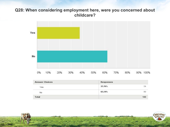### **Q28: When considering employment here, were you concerned about childcare?**



| <b>Answer Choices</b> | <b>Responses</b>                 |     |
|-----------------------|----------------------------------|-----|
| 31500<br>Yes          | 37.76%                           | 54  |
| <b>No</b>             | 62.24%<br>116 117 117 118 119 11 | 89  |
| <b>Total</b>          |                                  | 143 |

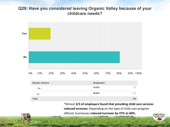### **Q29: Have you considered leaving Organic Valley because of your childcare needs?**



| <b>Answer Choices</b> | Responses                 |     |
|-----------------------|---------------------------|-----|
| Yes                   | 19.42%                    |     |
| No                    | 80.58%<br><b>PARTNERS</b> | 112 |
| <b>Total</b>          |                           | 139 |

\*Almost **2/3 of employers found that providing child care services reduced turnover.** Depending on the type of child care program offered, businesses **reduced turnover by 37% to 60%.**

ORGANI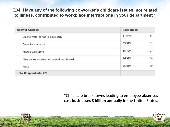**Q34: Have any of the following co-worker's childcare issues, not related to illness, contributed to workplace interruptions in your department?**

| <b>Answer Choices</b>                      | <b>Responses</b> |     |
|--------------------------------------------|------------------|-----|
| Late to work, or had to leave early        | 67.54%           | 154 |
| Disruptions at work                        | 39.91%           | 91  |
| Missed work days                           | 55.70%           | 127 |
| New parent not returned to work as planned | 14.91%           | 34  |
| None                                       | 25.88%           | 59  |
| <b>Total Respondents: 228</b>              |                  |     |

\*Child care breakdowns leading to employee **absences cost businesses 3 billion annually** in the United States.

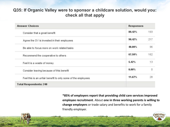### **Q35: If Organic Valley were to sponsor a childcare solution, would you: check all that apply**

| <b>Answer Choices</b>                                        | <b>Responses</b> |     |
|--------------------------------------------------------------|------------------|-----|
| Consider that a great benefit                                | 80.42%           | 193 |
| Agree the OV is invested in their employees                  | 90.42%           | 217 |
| Be able to focus more on work related tasks                  | 40.00%           | 96  |
| Recommend the cooperative to others                          | 67.50%           | 162 |
| Feel it is a waste of money                                  | 5.42%            | 13  |
| Consider leaving because of this benefit                     | 0.00%            | Ð   |
| Feel this is an unfair benefit to only some of the employees | 11.67%           | 28  |
| <b>Total Respondents: 240</b>                                |                  |     |

**\*85% of employers report that providing child care services improved employee recruitment**. About **one in three working parents is willing to change employers** or trade salary and benefits to work for a family friendly employer.

ORGAN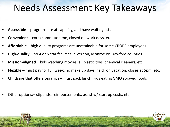# Needs Assessment Key Takeaways

- **• Accessible** programs are at capacity, and have waiting lists
- **Convenient** extra commute time, closed on work days, etc.
- **• Affordable**  high quality programs are unattainable for some CROPP employees
- **• High-quality** no 4 or 5 star facilities in Vernon, Monroe or Crawford counties
- **• Mission-aligned**  kids watching movies, all plastic toys, chemical cleaners, etc.
- **• Flexible** must pay for full week, no make up days if sick on vacation, closes at 5pm, etc.
- **• Childcare that offers organics**  must pack lunch, kids eating GMO sprayed foods
- Other options:– stipends, reimbursements, assist w/ start up costs, etc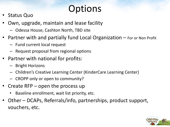# **Options**

- Status Quo
- Own, upgrade, maintain and lease facility
	- Odessa House, Cashton North, TBD site
- Partner with and partially fund Local Organization  $-$  For or Non Profit
	- Fund current local request
	- Request proposal from regional options
- Partner with national for profits:
	- Bright Horizons
	- Children's Creative Learning Center (KinderCare Learning Center)
	- CROPP only or open to community?
- Create  $RFP$  open the process up
	- Baseline enrollment, wait list priority, etc.
- Other DCAPs, Referrals/info, partnerships, product support, vouchers, etc.

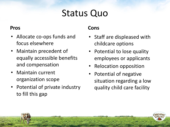# Status Quo

### **Pros**

- Allocate co-ops funds and focus elsewhere
- Maintain precedent of equally accessible benefits and compensation
- Maintain current organization scope
- Potential of private industry to fill this gap

- Staff are displeased with childcare options
- Potential to lose quality employees or applicants
- Relocation opposition
- Potential of negative situation regarding a low quality child care facility

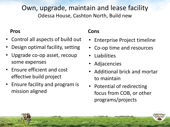## Own, upgrade, maintain and lease facility Odessa House, Cashton North, Build new

### **Pros**

- Control all aspects of build out
- Design optimal facility, setting
- Upgrade co-op asset, recoup some expenses
- Ensure efficient and cost effective build project
- Ensure facility and program is mission aligned

- Enterprise Project timeline
- Co-op time and resources
- Liabilities
- **Adjacencies**
- Additional brick and mortar to maintain
- Potential of redirecting focus from COB, or other programs/projects

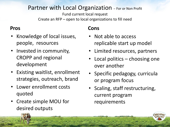## Partner with Local Organization - For or Non Profit

Fund current local request Create an RFP – open to local organizations to fill need

### **Pros**

- Knowledge of local issues, people, resources
- Invested in community, CROPP and regional development
- Existing waitlist, enrollment strategies, outreach, brand
- Lower enrollment costs quoted
- Create simple MOU for desired outputs

- Not able to access replicable start up model
- Limited resources, partners
- Local politics choosing one over another
- Specific pedagogy, curricula or program focus
- Scaling, staff restructuring, current program requirements

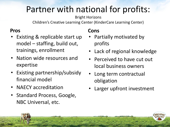# Partner with national for profits:

### Bright Horizons

Children's Creative Learning Center (KinderCare Learning Center)

## **Pros**

- Existing & replicable start up model – staffing, build out, trainings, enrollment
- Nation wide resources and expertise
- Existing partnership/subsidy financial model
- NAECY accreditation
- Standard Process, Google, NBC Universal, etc.

- Partially motivated by profits
- Lack of regional knowledge
- Perceived to have cut out local business owners
- Long term contractual obligation
- Larger upfront investment

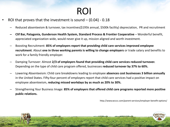# ROI

- ROI that proves that the investment is sound  $(0.04) 0.18$ 
	- Reduced absenteeism & turnover, tax incentives(\$195k annual, \$500k facility) depreciation, PR and recruitment
	- **– Clif Bar, Patagonia, Gunderson Health System, Standard Process & Frontier Cooperative**  Wonderful benefit, appreciated organization wide, would never give it up, mission aligned and worth investment.
	- Boosting Recruitment: **85% of employers report that providing child care services improved employee recruitment**. About **one in three working parents is willing to change employers** or trade salary and benefits to work for a family friendly employer.
	- Damping Turnover: Almost **2/3 of employers found that providing child care services reduced turnover.**  Depending on the type of child care program offered, businesses **reduced turnover by 37% to 60%.**
	- Lowering Absenteeism: Child care breakdowns leading to employee **absences cost businesses 3 billion annually**  in the United States. Fifty-four percent of employers report that child care services had a positive impact on employee absenteeism, **reducing missed workdays by as much as 20% to 30%.**
	- Strengthening Your Business Image: **85% of employers that offered child care programs reported more positive public relations.**

http://www.wcccc.com/parent-services/employer-benefit-options/

*RGAN*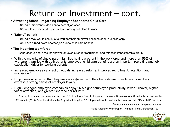## Return on Investment – cont.

#### ▪ **Attracting talent – regarding Employer Sponsored Child Care**

- − 68% said important in decision to accept job offer
- − 83% would recommend their employer as a great place to work

#### ▪ **"Sticky" benefit**

- − 80% said they would continue to work for their employer because of on-site child care
- − 23% have turned down another job due to child care benefit

#### ▪ **The incoming workforce**

- − Generation X and Y results showed an even stronger recruitment and retention impact for this group
- With the majority of single-parent families having a parent in the workforce and more than 59% of two-parent families with both parents employed, child care benefits are an important recruiting and job satisfaction driver for working parents.
- Increased employee satisfaction equals increased returns, improved recruitment, retention, and motivation.<sup>2</sup>
- Employees who report that they are very satisfied with their benefits are three times more likely to express a strong sense of employer lovalty.<sup>3</sup>
- Highly engaged employee companies enjoy 26% higher employee productivity, lower turnover, higher talent attraction, and greater shareholder return. $^4\,$

**<sup>1</sup>**Society For Human Resource Management, 2011 Employee Benefits: Examining Employee Benefits Amidst Uncertainty Survey Results <sup>2</sup>Edmans, A. (2010). Does the stock market fully value intangibles? Employee satisfaction and equity prices. Journal of Financial Economics. **<sup>3</sup>**Metlife 9th Annual Study if Employee Benefits

**4**Taleo Research White Paper: Profitable Talent Management (2011)

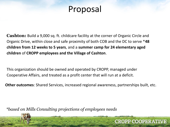## Proposal

**Cashton:** Build a 9,000 sq. ft. childcare facility at the corner of Organic Circle and Organic Drive, within close and safe proximity of both COB and the DC to serve \***48 children from 12 weeks to 5 years**, and a **summer camp for 24 elementary aged children** of **CROPP employees and the Village of Cashton**.

This organization should be owned and operated by CROPP, managed under Cooperative Affairs, and treated as a profit center that will run at a deficit.

**Other outcomes**: Shared Services, increased regional awareness, partnerships built, etc.

**CROPP COOPERATIVE** 

*\*based on Mills Consulting projections of employees needs*